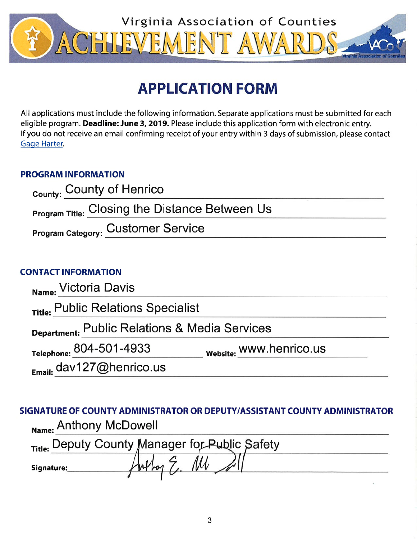

# **APPLICATION FORM**

All applications must include the following information. Separate applications must be submitted for each eligible program. Deadline: June 3, 2019. Please include this application form with electronic entry. If you do not receive an email confirming receipt of your entry within 3 days of submission, please contact **Gage Harter.** 

# **PROGRAM INFORMATION**

| <sub>County:</sub> County of Henrico                  |  |
|-------------------------------------------------------|--|
| <b>Program Title: Closing the Distance Between Us</b> |  |
| <b>Program Category: Customer Service</b>             |  |

# **CONTACT INFORMATION**

| Name: Victoria Davis                          |                         |  |
|-----------------------------------------------|-------------------------|--|
| Title: Public Relations Specialist            |                         |  |
| Department: Public Relations & Media Services |                         |  |
| Telephone: 804-501-4933                       | Website: WWW.henrico.us |  |
| Email: dav127@henrico.us                      |                         |  |

SIGNATURE OF COUNTY ADMINISTRATOR OR DEPUTY/ASSISTANT COUNTY ADMINISTRATOR Name: Anthony McDowell

|            | Title: Deputy County Manager for Public Safety |
|------------|------------------------------------------------|
| Signature: |                                                |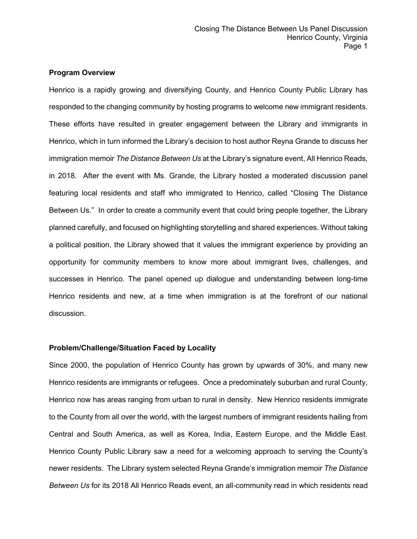## **Program Overview**

Henrico is a rapidly growing and diversifying County, and Henrico County Public Library has responded to the changing community by hosting programs to welcome new immigrant residents. These efforts have resulted in greater engagement between the Library and immigrants in Henrico, which in turn informed the Library's decision to host author Reyna Grande to discuss her immigration memoir *The Distance Between Us* at the Library's signature event, All Henrico Reads, in 2018. After the event with Ms. Grande, the Library hosted a moderated discussion panel featuring local residents and staff who immigrated to Henrico, called "Closing The Distance Between Us." In order to create a community event that could bring people together, the Library planned carefully, and focused on highlighting storytelling and shared experiences. Without taking a political position, the Library showed that it values the immigrant experience by providing an opportunity for community members to know more about immigrant lives, challenges, and successes in Henrico. The panel opened up dialogue and understanding between long-time Henrico residents and new, at a time when immigration is at the forefront of our national discussion.

## **Problem/Challenge/Situation Faced by Locality**

Since 2000, the population of Henrico County has grown by upwards of 30%, and many new Henrico residents are immigrants or refugees. Once a predominately suburban and rural County, Henrico now has areas ranging from urban to rural in density. New Henrico residents immigrate to the County from all over the world, with the largest numbers of immigrant residents hailing from Central and South America, as well as Korea, India, Eastern Europe, and the Middle East. Henrico County Public Library saw a need for a welcoming approach to serving the County's newer residents. The Library system selected Reyna Grande's immigration memoir *The Distance Between Us* for its 2018 All Henrico Reads event, an all-community read in which residents read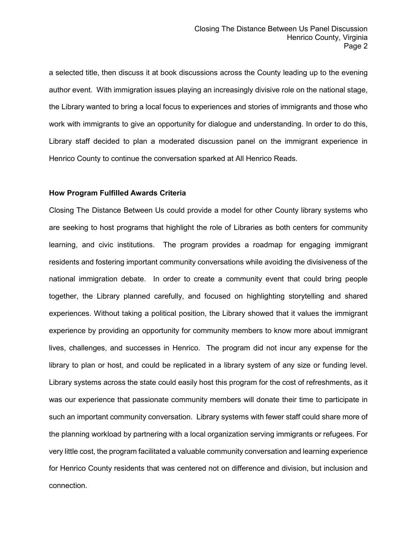a selected title, then discuss it at book discussions across the County leading up to the evening author event. With immigration issues playing an increasingly divisive role on the national stage, the Library wanted to bring a local focus to experiences and stories of immigrants and those who work with immigrants to give an opportunity for dialogue and understanding. In order to do this, Library staff decided to plan a moderated discussion panel on the immigrant experience in Henrico County to continue the conversation sparked at All Henrico Reads.

#### **How Program Fulfilled Awards Criteria**

Closing The Distance Between Us could provide a model for other County library systems who are seeking to host programs that highlight the role of Libraries as both centers for community learning, and civic institutions. The program provides a roadmap for engaging immigrant residents and fostering important community conversations while avoiding the divisiveness of the national immigration debate. In order to create a community event that could bring people together, the Library planned carefully, and focused on highlighting storytelling and shared experiences. Without taking a political position, the Library showed that it values the immigrant experience by providing an opportunity for community members to know more about immigrant lives, challenges, and successes in Henrico. The program did not incur any expense for the library to plan or host, and could be replicated in a library system of any size or funding level. Library systems across the state could easily host this program for the cost of refreshments, as it was our experience that passionate community members will donate their time to participate in such an important community conversation. Library systems with fewer staff could share more of the planning workload by partnering with a local organization serving immigrants or refugees. For very little cost, the program facilitated a valuable community conversation and learning experience for Henrico County residents that was centered not on difference and division, but inclusion and connection.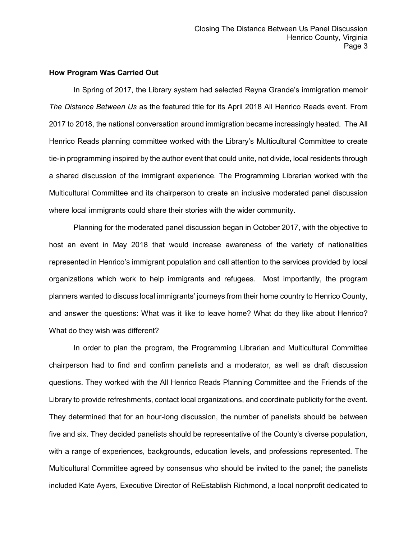#### **How Program Was Carried Out**

In Spring of 2017, the Library system had selected Reyna Grande's immigration memoir *The Distance Between Us* as the featured title for its April 2018 All Henrico Reads event. From 2017 to 2018, the national conversation around immigration became increasingly heated. The All Henrico Reads planning committee worked with the Library's Multicultural Committee to create tie-in programming inspired by the author event that could unite, not divide, local residents through a shared discussion of the immigrant experience. The Programming Librarian worked with the Multicultural Committee and its chairperson to create an inclusive moderated panel discussion where local immigrants could share their stories with the wider community.

Planning for the moderated panel discussion began in October 2017, with the objective to host an event in May 2018 that would increase awareness of the variety of nationalities represented in Henrico's immigrant population and call attention to the services provided by local organizations which work to help immigrants and refugees. Most importantly, the program planners wanted to discuss local immigrants' journeys from their home country to Henrico County, and answer the questions: What was it like to leave home? What do they like about Henrico? What do they wish was different?

In order to plan the program, the Programming Librarian and Multicultural Committee chairperson had to find and confirm panelists and a moderator, as well as draft discussion questions. They worked with the All Henrico Reads Planning Committee and the Friends of the Library to provide refreshments, contact local organizations, and coordinate publicity for the event. They determined that for an hour-long discussion, the number of panelists should be between five and six. They decided panelists should be representative of the County's diverse population, with a range of experiences, backgrounds, education levels, and professions represented. The Multicultural Committee agreed by consensus who should be invited to the panel; the panelists included Kate Ayers, Executive Director of ReEstablish Richmond, a local nonprofit dedicated to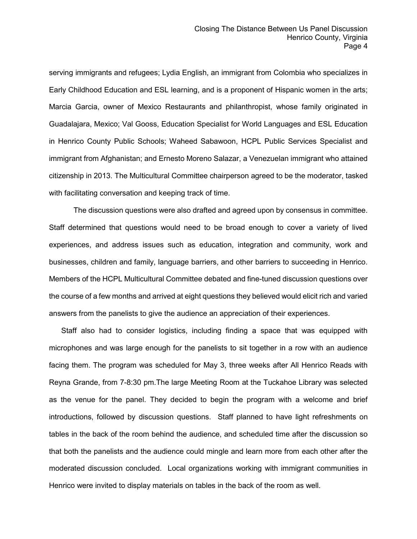serving immigrants and refugees; Lydia English, an immigrant from Colombia who specializes in Early Childhood Education and ESL learning, and is a proponent of Hispanic women in the arts; Marcia Garcia, owner of Mexico Restaurants and philanthropist, whose family originated in Guadalajara, Mexico; Val Gooss, Education Specialist for World Languages and ESL Education in Henrico County Public Schools; Waheed Sabawoon, HCPL Public Services Specialist and immigrant from Afghanistan; and Ernesto Moreno Salazar, a Venezuelan immigrant who attained citizenship in 2013. The Multicultural Committee chairperson agreed to be the moderator, tasked with facilitating conversation and keeping track of time.

The discussion questions were also drafted and agreed upon by consensus in committee. Staff determined that questions would need to be broad enough to cover a variety of lived experiences, and address issues such as education, integration and community, work and businesses, children and family, language barriers, and other barriers to succeeding in Henrico. Members of the HCPL Multicultural Committee debated and fine-tuned discussion questions over the course of a few months and arrived at eight questions they believed would elicit rich and varied answers from the panelists to give the audience an appreciation of their experiences.

Staff also had to consider logistics, including finding a space that was equipped with microphones and was large enough for the panelists to sit together in a row with an audience facing them. The program was scheduled for May 3, three weeks after All Henrico Reads with Reyna Grande, from 7-8:30 pm.The large Meeting Room at the Tuckahoe Library was selected as the venue for the panel. They decided to begin the program with a welcome and brief introductions, followed by discussion questions. Staff planned to have light refreshments on tables in the back of the room behind the audience, and scheduled time after the discussion so that both the panelists and the audience could mingle and learn more from each other after the moderated discussion concluded. Local organizations working with immigrant communities in Henrico were invited to display materials on tables in the back of the room as well.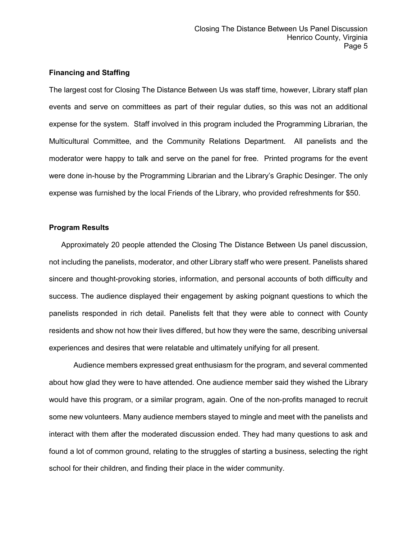## **Financing and Staffing**

The largest cost for Closing The Distance Between Us was staff time, however, Library staff plan events and serve on committees as part of their regular duties, so this was not an additional expense for the system. Staff involved in this program included the Programming Librarian, the Multicultural Committee, and the Community Relations Department. All panelists and the moderator were happy to talk and serve on the panel for free. Printed programs for the event were done in-house by the Programming Librarian and the Library's Graphic Desinger. The only expense was furnished by the local Friends of the Library, who provided refreshments for \$50.

#### **Program Results**

Approximately 20 people attended the Closing The Distance Between Us panel discussion, not including the panelists, moderator, and other Library staff who were present. Panelists shared sincere and thought-provoking stories, information, and personal accounts of both difficulty and success. The audience displayed their engagement by asking poignant questions to which the panelists responded in rich detail. Panelists felt that they were able to connect with County residents and show not how their lives differed, but how they were the same, describing universal experiences and desires that were relatable and ultimately unifying for all present.

Audience members expressed great enthusiasm for the program, and several commented about how glad they were to have attended. One audience member said they wished the Library would have this program, or a similar program, again. One of the non-profits managed to recruit some new volunteers. Many audience members stayed to mingle and meet with the panelists and interact with them after the moderated discussion ended. They had many questions to ask and found a lot of common ground, relating to the struggles of starting a business, selecting the right school for their children, and finding their place in the wider community.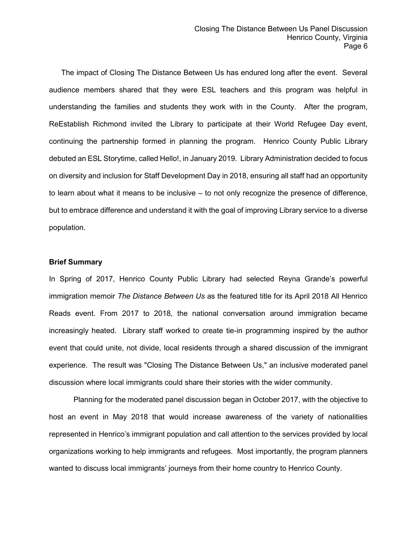The impact of Closing The Distance Between Us has endured long after the event. Several audience members shared that they were ESL teachers and this program was helpful in understanding the families and students they work with in the County. After the program, ReEstablish Richmond invited the Library to participate at their World Refugee Day event, continuing the partnership formed in planning the program. Henrico County Public Library debuted an ESL Storytime, called Hello!, in January 2019. Library Administration decided to focus on diversity and inclusion for Staff Development Day in 2018, ensuring all staff had an opportunity to learn about what it means to be inclusive – to not only recognize the presence of difference, but to embrace difference and understand it with the goal of improving Library service to a diverse population.

#### **Brief Summary**

In Spring of 2017, Henrico County Public Library had selected Reyna Grande's powerful immigration memoir *The Distance Between Us* as the featured title for its April 2018 All Henrico Reads event. From 2017 to 2018, the national conversation around immigration became increasingly heated. Library staff worked to create tie-in programming inspired by the author event that could unite, not divide, local residents through a shared discussion of the immigrant experience. The result was "Closing The Distance Between Us," an inclusive moderated panel discussion where local immigrants could share their stories with the wider community.

Planning for the moderated panel discussion began in October 2017, with the objective to host an event in May 2018 that would increase awareness of the variety of nationalities represented in Henrico's immigrant population and call attention to the services provided by local organizations working to help immigrants and refugees. Most importantly, the program planners wanted to discuss local immigrants' journeys from their home country to Henrico County.